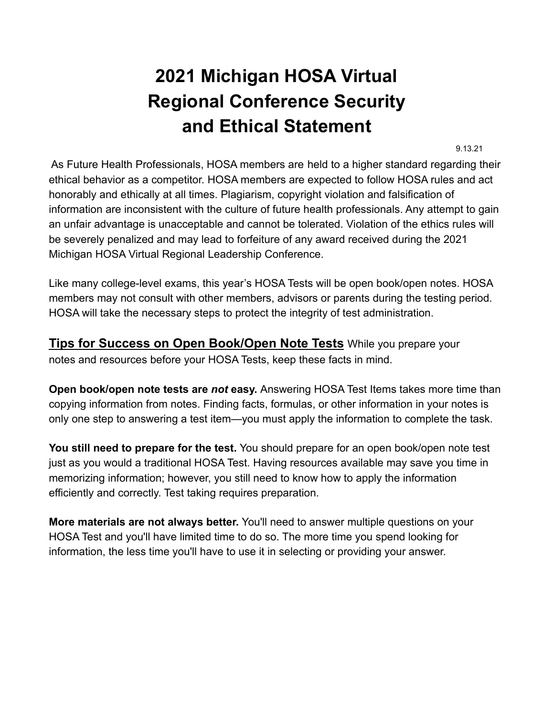## **2021 Michigan HOSA Virtual Regional Conference Security and Ethical Statement**

9.13.21

As Future Health Professionals, HOSA members are held to a higher standard regarding their ethical behavior as a competitor. HOSA members are expected to follow HOSA rules and act honorably and ethically at all times. Plagiarism, copyright violation and falsification of information are inconsistent with the culture of future health professionals. Any attempt to gain an unfair advantage is unacceptable and cannot be tolerated. Violation of the ethics rules will be severely penalized and may lead to forfeiture of any award received during the 2021 Michigan HOSA Virtual Regional Leadership Conference.

Like many college-level exams, this year's HOSA Tests will be open book/open notes. HOSA members may not consult with other members, advisors or parents during the testing period. HOSA will take the necessary steps to protect the integrity of test administration.

**Tips for Success on Open Book/Open Note Tests** While you prepare your notes and resources before your HOSA Tests, keep these facts in mind.

**Open book/open note tests are** *not* **easy.** Answering HOSA Test Items takes more time than copying information from notes. Finding facts, formulas, or other information in your notes is only one step to answering a test item—you must apply the information to complete the task.

**You still need to prepare for the test.** You should prepare for an open book/open note test just as you would a traditional HOSA Test. Having resources available may save you time in memorizing information; however, you still need to know how to apply the information efficiently and correctly. Test taking requires preparation.

**More materials are not always better.** You'll need to answer multiple questions on your HOSA Test and you'll have limited time to do so. The more time you spend looking for information, the less time you'll have to use it in selecting or providing your answer.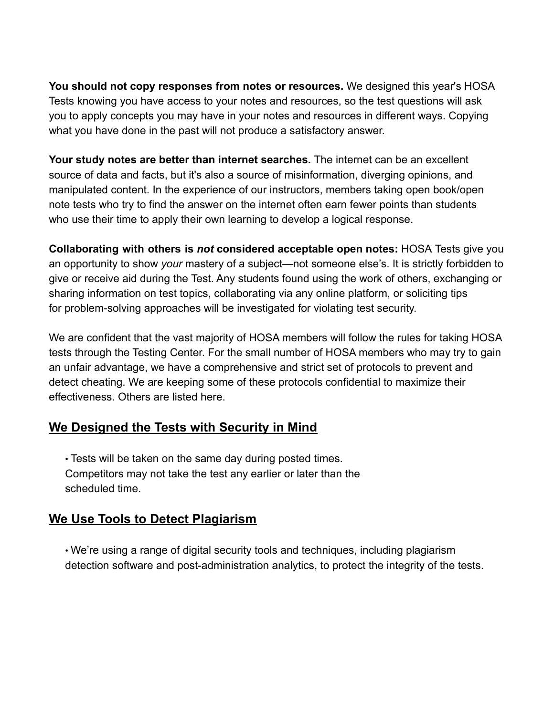**You should not copy responses from notes or resources.** We designed this year's HOSA Tests knowing you have access to your notes and resources, so the test questions will ask you to apply concepts you may have in your notes and resources in different ways. Copying what you have done in the past will not produce a satisfactory answer.

**Your study notes are better than internet searches.** The internet can be an excellent source of data and facts, but it's also a source of misinformation, diverging opinions, and manipulated content. In the experience of our instructors, members taking open book/open note tests who try to find the answer on the internet often earn fewer points than students who use their time to apply their own learning to develop a logical response.

**Collaborating with others is** *not* **considered acceptable open notes:** HOSA Tests give you an opportunity to show *your* mastery of a subject—not someone else's. It is strictly forbidden to give or receive aid during the Test. Any students found using the work of others, exchanging or sharing information on test topics, collaborating via any online platform, or soliciting tips for problem-solving approaches will be investigated for violating test security.

We are confident that the vast majority of HOSA members will follow the rules for taking HOSA tests through the Testing Center. For the small number of HOSA members who may try to gain an unfair advantage, we have a comprehensive and strict set of protocols to prevent and detect cheating. We are keeping some of these protocols confidential to maximize their effectiveness. Others are listed here.

## **We Designed the Tests with Security in Mind**

• Tests will be taken on the same day during posted times. Competitors may not take the test any earlier or later than the scheduled time.

## **We Use Tools to Detect Plagiarism**

• We're using a range of digital security tools and techniques, including plagiarism detection software and post-administration analytics, to protect the integrity of the tests.